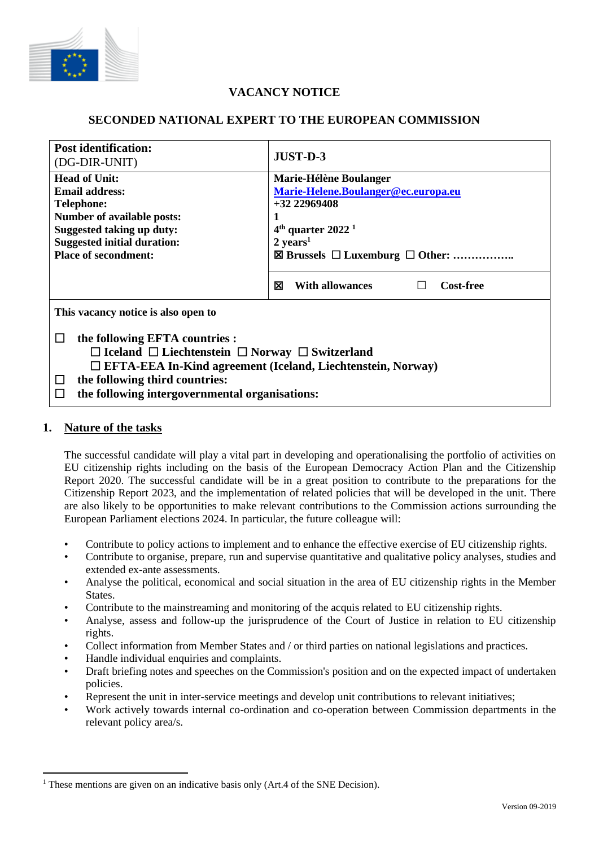

# **VACANCY NOTICE**

### **SECONDED NATIONAL EXPERT TO THE EUROPEAN COMMISSION**

| <b>Post identification:</b><br>(DG-DIR-UNIT)                                                                                                                                                                                                                                          | JUST-D-3                                                                                                                                   |
|---------------------------------------------------------------------------------------------------------------------------------------------------------------------------------------------------------------------------------------------------------------------------------------|--------------------------------------------------------------------------------------------------------------------------------------------|
| <b>Head of Unit:</b><br>Email address:<br><b>Telephone:</b><br>Number of available posts:<br><b>Suggested taking up duty:</b><br><b>Suggested initial duration:</b>                                                                                                                   | Marie-Hélène Boulanger<br>Marie-Helene.Boulanger@ec.europa.eu<br>$+32\,22969408$<br>$4th$ quarter 2022 <sup>1</sup><br>$2 \text{ years}^1$ |
| <b>Place of secondment:</b>                                                                                                                                                                                                                                                           | ⊠<br><b>With allowances</b><br><b>Cost-free</b>                                                                                            |
| This vacancy notice is also open to                                                                                                                                                                                                                                                   |                                                                                                                                            |
| the following EFTA countries :<br>$\mathbf{L}$<br>$\Box$ Iceland $\Box$ Liechtenstein $\Box$ Norway $\Box$ Switzerland<br>□ EFTA-EEA In-Kind agreement (Iceland, Liechtenstein, Norway)<br>the following third countries:<br>□<br>the following intergovernmental organisations:<br>Ħ |                                                                                                                                            |

#### **1. Nature of the tasks**

The successful candidate will play a vital part in developing and operationalising the portfolio of activities on EU citizenship rights including on the basis of the European Democracy Action Plan and the Citizenship Report 2020. The successful candidate will be in a great position to contribute to the preparations for the Citizenship Report 2023, and the implementation of related policies that will be developed in the unit. There are also likely to be opportunities to make relevant contributions to the Commission actions surrounding the European Parliament elections 2024. In particular, the future colleague will:

- Contribute to policy actions to implement and to enhance the effective exercise of EU citizenship rights.
- Contribute to organise, prepare, run and supervise quantitative and qualitative policy analyses, studies and extended ex-ante assessments.
- Analyse the political, economical and social situation in the area of EU citizenship rights in the Member States.
- Contribute to the mainstreaming and monitoring of the acquis related to EU citizenship rights.
- Analyse, assess and follow-up the jurisprudence of the Court of Justice in relation to EU citizenship rights.
- Collect information from Member States and / or third parties on national legislations and practices.
- Handle individual enquiries and complaints.
- Draft briefing notes and speeches on the Commission's position and on the expected impact of undertaken policies.
- Represent the unit in inter-service meetings and develop unit contributions to relevant initiatives;
- Work actively towards internal co-ordination and co-operation between Commission departments in the relevant policy area/s.

<sup>&</sup>lt;sup>1</sup> These mentions are given on an indicative basis only (Art.4 of the SNE Decision).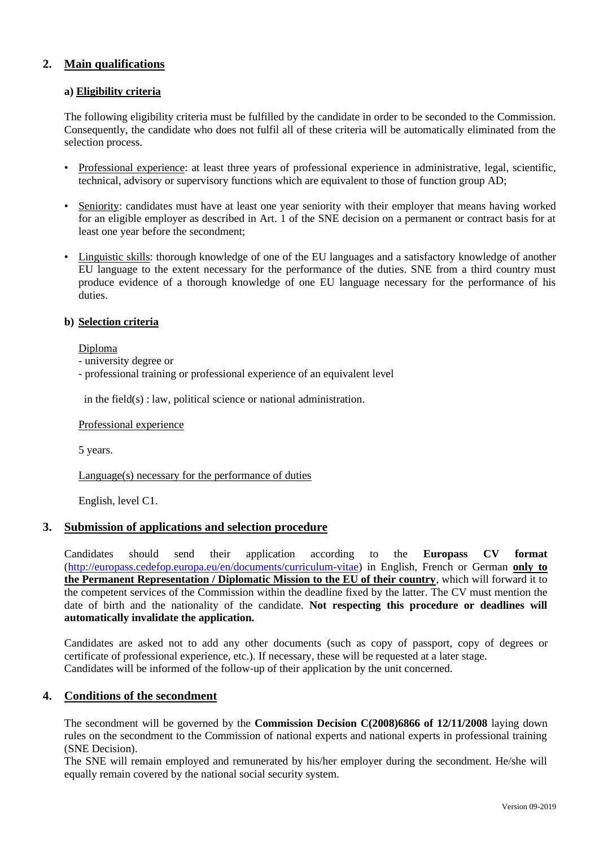## **2. Main qualifications**

#### **a) Eligibility criteria**

The following eligibility criteria must be fulfilled by the candidate in order to be seconded to the Commission. Consequently, the candidate who does not fulfil all of these criteria will be automatically eliminated from the selection process.

- Professional experience: at least three years of professional experience in administrative, legal, scientific, technical, advisory or supervisory functions which are equivalent to those of function group AD;
- Seniority: candidates must have at least one year seniority with their employer that means having worked for an eligible employer as described in Art. 1 of the SNE decision on a permanent or contract basis for at least one year before the secondment;
- Linguistic skills: thorough knowledge of one of the EU languages and a satisfactory knowledge of another EU language to the extent necessary for the performance of the duties. SNE from a third country must produce evidence of a thorough knowledge of one EU language necessary for the performance of his duties.

#### **b) Selection criteria**

Diploma

- university degree or

- professional training or professional experience of an equivalent level

in the field(s) : law, political science or national administration.

Professional experience

5 years.

Language(s) necessary for the performance of duties

English, level C1.

### **3. Submission of applications and selection procedure**

Candidates should send their application according to the **Europass CV format**  [\(http://europass.cedefop.europa.eu/en/documents/curriculum-vitae\)](http://europass.cedefop.europa.eu/en/documents/curriculum-vitae) in English, French or German **only to the Permanent Representation / Diplomatic Mission to the EU of their country**, which will forward it to the competent services of the Commission within the deadline fixed by the latter. The CV must mention the date of birth and the nationality of the candidate. **Not respecting this procedure or deadlines will automatically invalidate the application.**

Candidates are asked not to add any other documents (such as copy of passport, copy of degrees or certificate of professional experience, etc.). If necessary, these will be requested at a later stage. Candidates will be informed of the follow-up of their application by the unit concerned.

### **4. Conditions of the secondment**

The secondment will be governed by the **Commission Decision C(2008)6866 of 12/11/2008** laying down rules on the secondment to the Commission of national experts and national experts in professional training (SNE Decision).

The SNE will remain employed and remunerated by his/her employer during the secondment. He/she will equally remain covered by the national social security system.